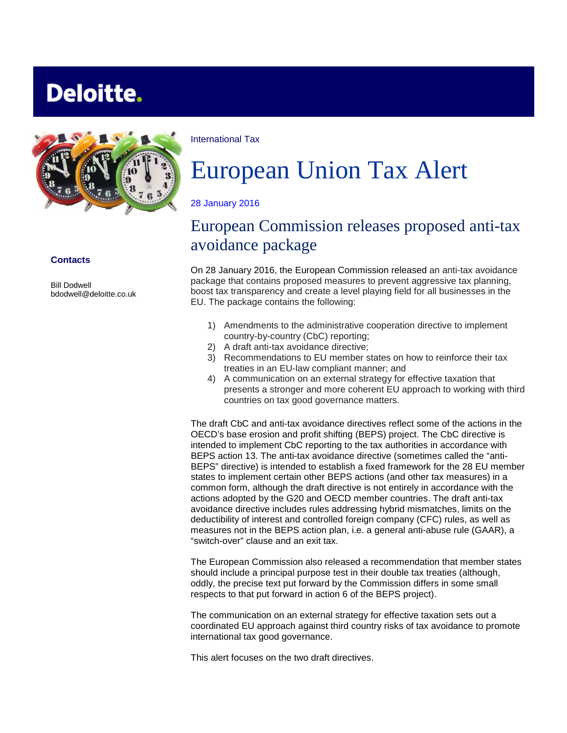# **Deloitte.**



#### **Contacts**

Bill Dodwell bdodwell@deloitte.co.uk International Tax

# European Union Tax Alert

#### 28 January 2016

# European Commission releases proposed anti-tax avoidance package

On 28 January 2016, the European Commission released an anti-tax avoidance package that contains proposed measures to prevent aggressive tax planning, boost tax transparency and create a level playing field for all businesses in the EU. The package contains the following:

- 1) Amendments to the administrative cooperation directive to implement country-by-country (CbC) reporting;
- 2) A draft anti-tax avoidance directive;
- 3) Recommendations to EU member states on how to reinforce their tax treaties in an EU-law compliant manner; and
- 4) A communication on an external strategy for effective taxation that presents a stronger and more coherent EU approach to working with third countries on tax good governance matters.

The draft CbC and anti-tax avoidance directives reflect some of the actions in the OECD's base erosion and profit shifting (BEPS) project. The CbC directive is intended to implement CbC reporting to the tax authorities in accordance with BEPS action 13. The anti-tax avoidance directive (sometimes called the "anti-BEPS" directive) is intended to establish a fixed framework for the 28 EU member states to implement certain other BEPS actions (and other tax measures) in a common form, although the draft directive is not entirely in accordance with the actions adopted by the G20 and OECD member countries. The draft anti-tax avoidance directive includes rules addressing hybrid mismatches, limits on the deductibility of interest and controlled foreign company (CFC) rules, as well as measures not in the BEPS action plan, i.e. a general anti-abuse rule (GAAR), a "switch-over" clause and an exit tax.

The European Commission also released a recommendation that member states should include a principal purpose test in their double tax treaties (although, oddly, the precise text put forward by the Commission differs in some small respects to that put forward in action 6 of the BEPS project).

The communication on an external strategy for effective taxation sets out a coordinated EU approach against third country risks of tax avoidance to promote international tax good governance.

This alert focuses on the two draft directives.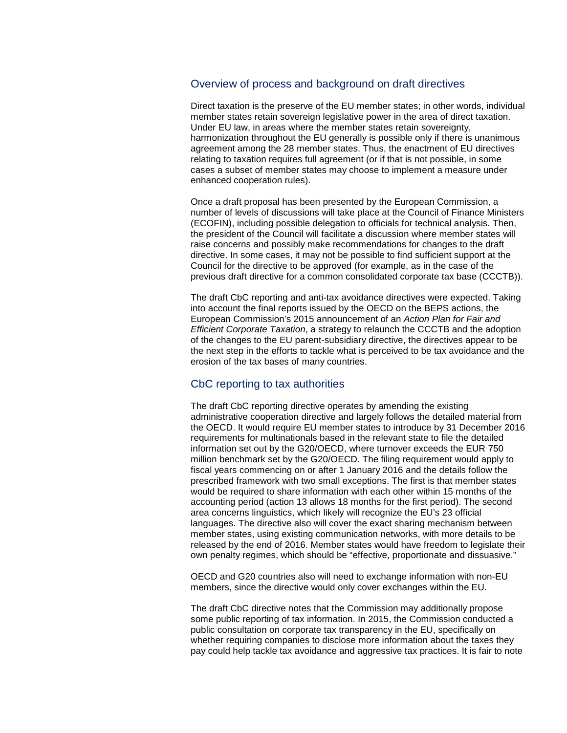#### Overview of process and background on draft directives

Direct taxation is the preserve of the EU member states; in other words, individual member states retain sovereign legislative power in the area of direct taxation. Under EU law, in areas where the member states retain sovereignty, harmonization throughout the EU generally is possible only if there is unanimous agreement among the 28 member states. Thus, the enactment of EU directives relating to taxation requires full agreement (or if that is not possible, in some cases a subset of member states may choose to implement a measure under enhanced cooperation rules).

Once a draft proposal has been presented by the European Commission, a number of levels of discussions will take place at the Council of Finance Ministers (ECOFIN), including possible delegation to officials for technical analysis. Then, the president of the Council will facilitate a discussion where member states will raise concerns and possibly make recommendations for changes to the draft directive. In some cases, it may not be possible to find sufficient support at the Council for the directive to be approved (for example, as in the case of the previous draft directive for a common consolidated corporate tax base (CCCTB)).

The draft CbC reporting and anti-tax avoidance directives were expected. Taking into account the final reports issued by the OECD on the BEPS actions, the European Commission's 2015 announcement of an *[Action Plan](http://ec.europa.eu/taxation_customs/resources/documents/taxation/company_tax/fairer_corporate_taxation/com_2015_302_en.pdf) for Fair and Efficient Corporate Taxation*, a strategy to relaunch the CCCTB and the adoption of the changes to the EU parent-subsidiary directive, the directives appear to be the next step in the efforts to tackle what is perceived to be tax avoidance and the erosion of the tax bases of many countries.

## CbC reporting to tax authorities

The draft CbC reporting directive operates by amending the existing administrative cooperation directive and largely follows the detailed material from the OECD. It would require EU member states to introduce by 31 December 2016 requirements for multinationals based in the relevant state to file the detailed information set out by the G20/OECD, where turnover exceeds the EUR 750 million benchmark set by the G20/OECD. The filing requirement would apply to fiscal years commencing on or after 1 January 2016 and the details follow the prescribed framework with two small exceptions. The first is that member states would be required to share information with each other within 15 months of the accounting period (action 13 allows 18 months for the first period). The second area concerns linguistics, which likely will recognize the EU's 23 official languages. The directive also will cover the exact sharing mechanism between member states, using existing communication networks, with more details to be released by the end of 2016. Member states would have freedom to legislate their own penalty regimes, which should be "effective, proportionate and dissuasive."

OECD and G20 countries also will need to exchange information with non-EU members, since the directive would only cover exchanges within the EU.

The draft CbC directive notes that the Commission may additionally propose some public reporting of tax information. In 2015, the Commission conducted a public consultation on corporate tax transparency in the EU, specifically on whether requiring companies to disclose more information about the taxes they pay could help tackle tax avoidance and aggressive tax practices. It is fair to note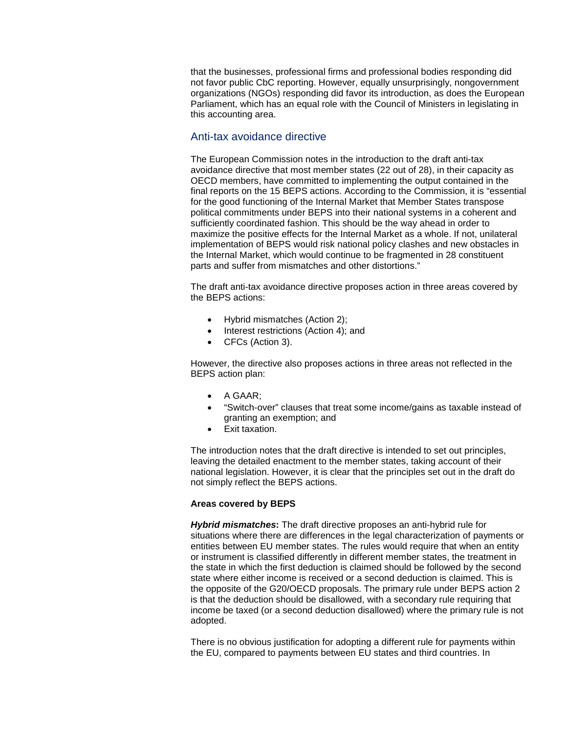that the businesses, professional firms and professional bodies responding did not favor public CbC reporting. However, equally unsurprisingly, nongovernment organizations (NGOs) responding did favor its introduction, as does the European Parliament, which has an equal role with the Council of Ministers in legislating in this accounting area.

## Anti-tax avoidance directive

The European Commission notes in the introduction to the draft anti-tax avoidance directive that most member states (22 out of 28), in their capacity as OECD members, have committed to implementing the output contained in the final reports on the 15 BEPS actions. According to the Commission, it is "essential for the good functioning of the Internal Market that Member States transpose political commitments under BEPS into their national systems in a coherent and sufficiently coordinated fashion. This should be the way ahead in order to maximize the positive effects for the Internal Market as a whole. If not, unilateral implementation of BEPS would risk national policy clashes and new obstacles in the Internal Market, which would continue to be fragmented in 28 constituent parts and suffer from mismatches and other distortions."

The draft anti-tax avoidance directive proposes action in three areas covered by the BEPS actions:

- Hybrid mismatches (Action 2);
- Interest restrictions (Action 4); and
- CFCs (Action 3).

However, the directive also proposes actions in three areas not reflected in the BEPS action plan:

- A GAAR;
- "Switch-over" clauses that treat some income/gains as taxable instead of granting an exemption; and
- Exit taxation.

The introduction notes that the draft directive is intended to set out principles, leaving the detailed enactment to the member states, taking account of their national legislation. However, it is clear that the principles set out in the draft do not simply reflect the BEPS actions.

#### **Areas covered by BEPS**

*Hybrid mismatches***:** The draft directive proposes an anti-hybrid rule for situations where there are differences in the legal characterization of payments or entities between EU member states. The rules would require that when an entity or instrument is classified differently in different member states, the treatment in the state in which the first deduction is claimed should be followed by the second state where either income is received or a second deduction is claimed. This is the opposite of the G20/OECD proposals. The primary rule under BEPS action 2 is that the deduction should be disallowed, with a secondary rule requiring that income be taxed (or a second deduction disallowed) where the primary rule is not adopted.

There is no obvious justification for adopting a different rule for payments within the EU, compared to payments between EU states and third countries. In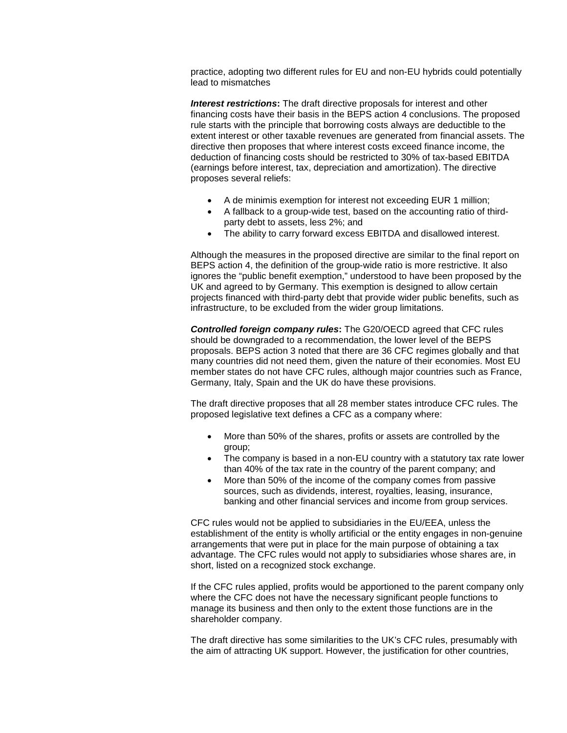practice, adopting two different rules for EU and non-EU hybrids could potentially lead to mismatches

*Interest restrictions***:** The draft directive proposals for interest and other financing costs have their basis in the BEPS action 4 conclusions. The proposed rule starts with the principle that borrowing costs always are deductible to the extent interest or other taxable revenues are generated from financial assets. The directive then proposes that where interest costs exceed finance income, the deduction of financing costs should be restricted to 30% of tax-based EBITDA (earnings before interest, tax, depreciation and amortization). The directive proposes several reliefs:

- A de minimis exemption for interest not exceeding EUR 1 million;
- A fallback to a group-wide test, based on the accounting ratio of thirdparty debt to assets, less 2%; and
- The ability to carry forward excess EBITDA and disallowed interest.

Although the measures in the proposed directive are similar to the final report on BEPS action 4, the definition of the group-wide ratio is more restrictive. It also ignores the "public benefit exemption," understood to have been proposed by the UK and agreed to by Germany. This exemption is designed to allow certain projects financed with third-party debt that provide wider public benefits, such as infrastructure, to be excluded from the wider group limitations.

*Controlled foreign company rules***:** The G20/OECD agreed that CFC rules should be downgraded to a recommendation, the lower level of the BEPS proposals. BEPS action 3 noted that there are 36 CFC regimes globally and that many countries did not need them, given the nature of their economies. Most EU member states do not have CFC rules, although major countries such as France, Germany, Italy, Spain and the UK do have these provisions.

The draft directive proposes that all 28 member states introduce CFC rules. The proposed legislative text defines a CFC as a company where:

- More than 50% of the shares, profits or assets are controlled by the group;
- The company is based in a non-EU country with a statutory tax rate lower than 40% of the tax rate in the country of the parent company; and
- More than 50% of the income of the company comes from passive sources, such as dividends, interest, royalties, leasing, insurance, banking and other financial services and income from group services.

CFC rules would not be applied to subsidiaries in the EU/EEA, unless the establishment of the entity is wholly artificial or the entity engages in non-genuine arrangements that were put in place for the main purpose of obtaining a tax advantage. The CFC rules would not apply to subsidiaries whose shares are, in short, listed on a recognized stock exchange.

If the CFC rules applied, profits would be apportioned to the parent company only where the CFC does not have the necessary significant people functions to manage its business and then only to the extent those functions are in the shareholder company.

The draft directive has some similarities to the UK's CFC rules, presumably with the aim of attracting UK support. However, the justification for other countries,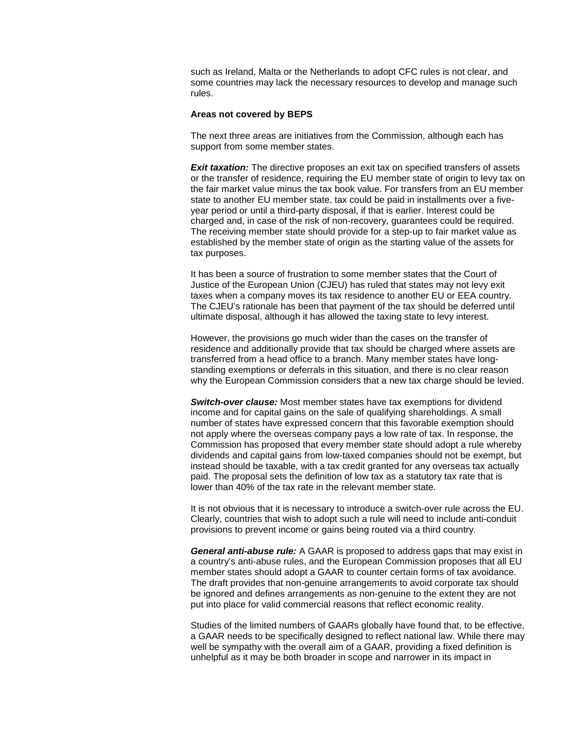such as Ireland, Malta or the Netherlands to adopt CFC rules is not clear, and some countries may lack the necessary resources to develop and manage such rules.

#### **Areas not covered by BEPS**

The next three areas are initiatives from the Commission, although each has support from some member states.

**Exit taxation:** The directive proposes an exit tax on specified transfers of assets or the transfer of residence, requiring the EU member state of origin to levy tax on the fair market value minus the tax book value. For transfers from an EU member state to another EU member state, tax could be paid in installments over a fiveyear period or until a third-party disposal, if that is earlier. Interest could be charged and, in case of the risk of non-recovery, guarantees could be required. The receiving member state should provide for a step-up to fair market value as established by the member state of origin as the starting value of the assets for tax purposes.

It has been a source of frustration to some member states that the Court of Justice of the European Union (CJEU) has ruled that states may not levy exit taxes when a company moves its tax residence to another EU or EEA country. The CJEU's rationale has been that payment of the tax should be deferred until ultimate disposal, although it has allowed the taxing state to levy interest.

However, the provisions go much wider than the cases on the transfer of residence and additionally provide that tax should be charged where assets are transferred from a head office to a branch. Many member states have longstanding exemptions or deferrals in this situation, and there is no clear reason why the European Commission considers that a new tax charge should be levied.

*Switch-over clause:* Most member states have tax exemptions for dividend income and for capital gains on the sale of qualifying shareholdings. A small number of states have expressed concern that this favorable exemption should not apply where the overseas company pays a low rate of tax. In response, the Commission has proposed that every member state should adopt a rule whereby dividends and capital gains from low-taxed companies should not be exempt, but instead should be taxable, with a tax credit granted for any overseas tax actually paid. The proposal sets the definition of low tax as a statutory tax rate that is lower than 40% of the tax rate in the relevant member state.

It is not obvious that it is necessary to introduce a switch-over rule across the EU. Clearly, countries that wish to adopt such a rule will need to include anti-conduit provisions to prevent income or gains being routed via a third country.

*General anti-abuse rule:* A GAAR is proposed to address gaps that may exist in a country's anti-abuse rules, and the European Commission proposes that all EU member states should adopt a GAAR to counter certain forms of tax avoidance. The draft provides that non-genuine arrangements to avoid corporate tax should be ignored and defines arrangements as non-genuine to the extent they are not put into place for valid commercial reasons that reflect economic reality.

Studies of the limited numbers of GAARs globally have found that, to be effective, a GAAR needs to be specifically designed to reflect national law. While there may well be sympathy with the overall aim of a GAAR, providing a fixed definition is unhelpful as it may be both broader in scope and narrower in its impact in